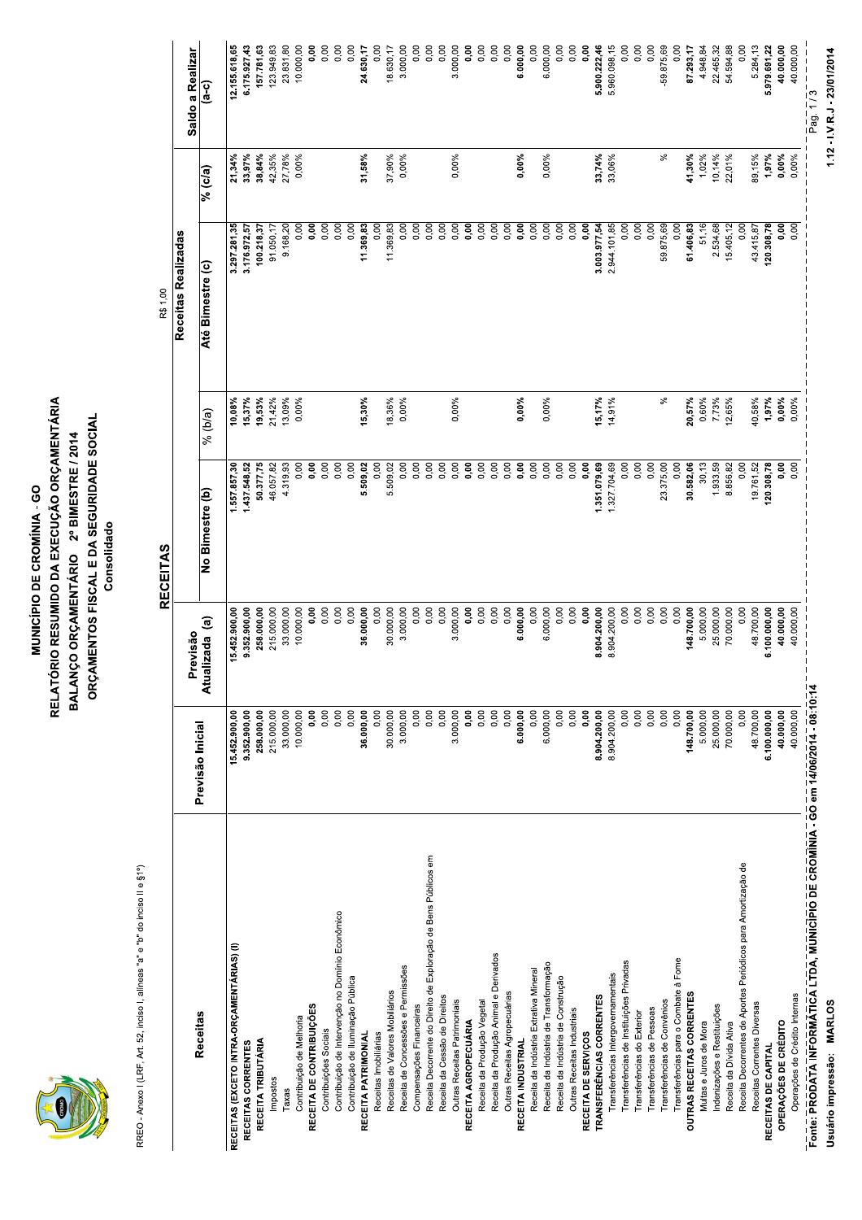

#### MUNICÍPIO DE CROMÍNI<br>RELATÓRIO RESUMIDO DA EXECU<br>BALANÇO ORÇAMENTÁRIO 2º E<br>ORÇAMENTOS FISCAL E DA SE **MUNICÍPIO DE CROMÍNIA - GO<br>RELATÓRIO RESUMIDO DA EXECUÇÃO ORÇ<br>BALANÇO ORÇAMENTÁRIO 2º BIMESTRE<br>ORÇAMENTOS FISCAL E DA SEGURIDAD MUNICÍPIO DE CROMÍNIA - GO<br>VTÓRIO RESUMIDO DA EXECUÇÃO ORÇAMENTÁ<br>ANÇO ORÇAMENTÁRIO - 2º BIMESTRE / 2014<br>RÇAMENTOS FISCAL E DA SEGURIDADE SOCIAI**<br>Consolidado MUNICÍPIO DE CROMÍNIA - GO<br>RELATÓRIO RESUMIDO DA EXECUÇÃO ORÇAMENTÁRIA<br>BALANÇO ORÇAMENTÁRIO - 2º BIMESTRE / 2014<br>ORÇAMENTOS FISCAL E DA SEGURIDADE SOCIAL<br>Consolidado<br>RECEITAS **MUNICÍPIO DE CROMÍNIA - GO<br>RELATÓRIO RESUMIDO DA EXECUÇÃO ORÇAMENTÁRIA<br>BALANÇO ORÇAMENTÁRIO 2º BIMESTRE / 2014<br>ORÇAMENTOS FISCAL E DA SEGURIDADE SOCIAL<br>Consolidad<br>RECEITAS<br>Bendias PIO DE CROMÍNIA - GO<br>MIDO DA EXECUÇÃO ORÇAMENTÁRIA<br>MENTÁRIO - 2º BIMESTRE / 2014<br>FISCAL E DA SEGURIDADE SOCIAL<br>Consolidado<br>RECEITAS** E CROMÍNIA - GO<br>DA EXECUÇÃO ORÇAMENTÁRIA<br>ÁRIO - 2º BIMESTRE / 2014<br>NL E DA SEGURIDADE SOCIAL<br>onsolidado<br>EITAS **MUNICÍPIO<br>RALATÓRIO RESUMID<br>BALANÇO ORÇAMEN<br>ORÇAMENTOS FIS<br>CELATÓRIO RESUMID MUNICÍPIO DE CROMÍNI<br>RELATÓRIO RESUMIDO DA EXECU<br>BALANÇO ORÇAMENTÁRIO 2º E<br>ORÇAMENTOS FISCAL E DA SE<br>ORÇAMENTOS FISCAL E DA SE<br>Consolidado MUNICÍPIO DE CROMÍNIA - GO<br>RELATÓRIO RESUMIDO DA EXECUÇÃO ORÇAME<br>BALANÇO ORÇAMENTÁRIO 2º BIMESTRE / 20<br>ORÇAMENTOS FISCAL E DA SEGURIDADE SC<br>Consolidad<br>Consolidad** MUNICÍPIO DE CROMÍNIA - GO<br>RIO RESUMIDO DA EXECUÇÃO ORÇAMENT<br>ÇO ORÇAMENTÁRIO 2º BIMESTRE / 2014<br>MENTOS FISCAL E DA SEGURIDADE SOCI<br>Consolidad<br>RECEITAS **VIUNICÍPIO DE CROMÍNIA - GO<br>) RESUMIDO DA EXECUÇÃO ORÇAMENTÁRIA<br>ORÇAMENTÁRIO - 2º BIMESTRE / 2014<br>ENTOS FISCAL E DA SEGURIDADE SOCIAL<br>Consolidado<br>RECEITAS OMÍNIA - GO<br>:XECUÇÃO ORÇAMENTÁRIA<br>, 2º BIMESTRE / 2014<br>DA SEGURIDADE SOCIAL<br>lidado**<br>Idado MUNICÍPIO DE CROMÍNIA - GO<br>BALANÇO ORÇAMENTÁRIO - 2º BIMESTRE / 2014<br>ORÇAMENTOS FISCAL E DA SEGURIDADE SOCIAL<br>Consolidado<br>Previsão Inicial | Atualizada (a) | No Bimestre (b) | % (b/a) | Até Bimest<br>| Atualizada (a) | No Bim - MUNICÍPIO DE CROMÍNIA - GO<br>ORÇAMENTÁRIO - 2º BIMESTRE / 2014<br>ACO ORÇAMENTÁRIO - 2º BIMESTRE / 2014<br>AMENTOS FISCAL E DA SEGURIDADE SOCIAL<br>Consolidado<br>Previsão - RECEITAS<br>alizada (a) - No Bimestre (b) - | % (b/a<br>alizada (a) NICÍPIO DE CROMÍNIA - GO<br>ESUMIDO DA EXECUÇÃO ORÇAMENTÁRIA<br>QCAMENTÁRIO - 2º BIMESTRE / 2014<br>TOS FISCAL E DA SEGURIDADE SOCIAL<br>Consolidado<br>RECEITAS<br>RECEITAS  !"#\$%\$

|                                                                                                                       |                          |                          | <b>RECEITAS</b>        |                  | R\$1,00                 |                  |                          |
|-----------------------------------------------------------------------------------------------------------------------|--------------------------|--------------------------|------------------------|------------------|-------------------------|------------------|--------------------------|
|                                                                                                                       |                          | Previsão                 |                        |                  | Receitas Realizadas     |                  | Saldo a Realizar         |
| Receitas                                                                                                              | Previsão Inicial         | Atualizada (a)           | No Bimestre (b)        | $%$ (b/a)        | Até Bimestre (c)        | % (c/a)          | (a-c)                    |
| RECEITAS (EXCETO INTRA-ORÇAMENTÁRIAS) (I)                                                                             | 15.452.900,00            | 15.452.900,00            | 1.557.857,30           | 10,08%           | 3.297.281,35            | $21,34\%$        | 12.155.618,65            |
| RECEITAS CORRENTES                                                                                                    | 9.352.900,00             | 9.352.900,00             | 1.437.548,52           | 15,37%           | 3.176.972,57            | 33,97%           | 6.175.927,43             |
| RECEITA TRIBUTÁRIA                                                                                                    | 258.000,00<br>215.000,00 | 258.000,00<br>215.000,00 | 50.377,75<br>46.057,82 | 21,42%<br>19,53% | 100.218,37<br>91.050,17 | 38,84%<br>42,35% | 157.781,63<br>123.949,83 |
| Impostos<br>Taxas                                                                                                     | 33.000,00                | 33.000,00                | 4.319,93               | 13,09%           | 9.168,20                | 27,78%           | 23.831,80                |
| Contribuição de Melhoria                                                                                              | 10.000,00                | 10.000,00                | 0,00                   | 0,00%            | 0,00                    | 0,00%            | 10.000,00                |
| RECEITA DE CONTRIBUIÇÕES<br>Contribuições Sociais                                                                     | 0,00<br>0,00             | 0,00<br>0,00             | 0,00<br>0,00           |                  | 0,00<br>0,00            |                  | 0,00<br>0,00             |
| Contribuição de Intervenção no Domínio Econômico                                                                      | 0,00                     | 0,00                     | 0,00                   |                  | 0,00                    |                  | 0,00                     |
| Contribuição de Iluminação Pública                                                                                    | 0,00                     | 0,00                     | 0,00                   |                  | 0,00                    |                  | 0,00                     |
| RECEITA PATRIMONIAL                                                                                                   | 36.000,00                | 36.000,00                | 5.509,02               | 15,30%           | 11.369,83               | 31,58%           | 24.630,17                |
| Receitas de Valores Mobiliários<br>Receitas Imobiliárias                                                              | 0,00<br>30.000,00        | 0,00<br>30.000,00        | 0,00<br>5.509,02       | 18,36%           | 11.369,83<br>0,00       | 37,90%           | 0,00<br>18.630,17        |
| Receita de Concessões e Permissões                                                                                    | 3.000,00                 | 3.000,00                 | 0,00                   | 0,00%            | 0,00                    | 0,00%            | 3.000,00                 |
| Compensações Financeiras                                                                                              | 0,00                     | 0,00                     | 0,00                   |                  | 0,00                    |                  | 0,00                     |
| Receita Decorrente do Direito de Exploração de Bens Públicos em                                                       | 0,00                     | 0,00                     | 0,00                   |                  | 0,00                    |                  | 0,00                     |
| Receita da Cessão de Direitos<br>Outras Receitas Patrimoniais                                                         | 0,00<br>3.000,00         | 0,00<br>3.000,00         | 0,00<br>0,00           | 0,00%            | 0,00<br>0,00            | 0,00%            | 0,00<br>3.000,00         |
| RECEITA AGROPECUÁRIA                                                                                                  | 0,00                     | 0,00                     | 0,00                   |                  | 0,00                    |                  | 0,00                     |
| Receita da Produção Vegetal                                                                                           | 0,00                     | 0,00                     | 0,00                   |                  | 0,00                    |                  | 0,00                     |
| Receita da Produção Animal e Derivados                                                                                | 0,00                     | 0,00                     | 0,00                   |                  | 0,00                    |                  | 0,00                     |
| Outras Receitas Agropecuárias<br>RECEITA INDUSTRIAL                                                                   | 0,00<br>6.000,00         | 0,00<br>6.000,00         | 0,00<br>0,00           | 0,00%            | 0,00<br>0,00            | 0,00%            | 0,00<br>6.000,00         |
| Receita da Indústria Extrativa Mineral                                                                                | 0,00                     | 0,00                     | 0,00                   |                  | 0,00                    |                  | 0,00                     |
| Receita da Indústria de Transformação                                                                                 | 6.000,00                 | 6.000,00                 | 0,00                   | 0,00%            | 0,00                    | 0,00%            | 6.000,00                 |
| Receita da Indústria de Construção                                                                                    | 0,00                     | 0,00                     | 0,00                   |                  | 0,00                    |                  | 0,00                     |
| Outras Receitas Industriais<br>RECEITA DE SERVIÇOS                                                                    | 0,00<br>0,00             | 0,00<br>0,00             | 0,00<br>0,00           |                  | 0,00<br>0,00            |                  | 0,00<br>0,00             |
| TRANSFERÊNCIAS CORRENTES                                                                                              | 8.904.200,00             | 8.904.200,00             | 1.351.079,69           | 15,17%           | 3.003.977,54            | 33,74%           | 5.900.222,46             |
| Transferências Intergovernamentais                                                                                    | 8.904.200,00             | 8.904.200,00             | 1.327.704,69           | 14,91%           | 2.944.101,85            | 33,06%           | 5.960.098,15             |
| Transferências de Instituições Privadas                                                                               | 0,00                     | 0,00                     | 0,00                   |                  | 0,00                    |                  | 0,00                     |
| Transferências de Pessoas<br>Transferências do Exterior                                                               | 0,00<br>0,00             | 0,00<br>0,00             | 0,00<br>0,00           |                  | 0,00<br>0,00            |                  | 0,00<br>0,00             |
| Transferências de Convênios                                                                                           | 0,00                     | 0,00                     | 23.375,00              | వ్               | 59.875,69               | ್ಲಿ              | -59.875,69               |
| Transferências para o Combate à Fome                                                                                  | 0,00                     | 0,00                     | 0,00                   |                  | 0,00                    |                  | 0,00                     |
| OUTRAS RECEITAS CORRENTES                                                                                             | 148.700,00               | 148.700,00               | 30.582,06              | 20,57%           | 61.406,83               | 41,30%           | 87.293,17                |
| Multas e Juros de Mora                                                                                                | 5.000,00                 | 5.000,00                 | 30,13                  | 0,60%            | 51,16                   | $1,02\%$         | 4.948,84                 |
| Indenizações e Restituições<br>Receita da Dívida Ativa                                                                | 25.000,00<br>70.000,00   | 25.000,00<br>70.000,00   | 1.933,59<br>8.856,82   | 7,73%<br>12,65%  | 2.534,68<br>15.405,12   | 10,14%<br>22,01% | 54.594,88<br>22.465,32   |
| Receita Decorrentes de Aportes Periódicos para Amortização de                                                         | 0,00                     | 0,00                     | 0,00                   |                  | 0,00                    |                  | 0,00                     |
| Receitas Correntes Diversas                                                                                           | 48.700,00                | 48.700,00                | 19.761,52              | 40,58%           | 43.415,87               | 89,15%           | 5.284,13                 |
| RECEITAS DE CAPITAL                                                                                                   | 6.100.000,00             | 6.100.000,00             | 120.308,78             | 1,97%            | 120.308,78              | 1,97%            | 5.979.691,22             |
| OPERAÇÕES DE CRÉDITO                                                                                                  | 40.000,00                | 40.000,00                | 0,00                   | 0,00%            | 0,00<br>0,00            | 0,00%            | 40.000,00                |
| Fonte: PRODATA INFORMĀTICA LTDA, MUNICĪPIO DE CROMĪNIA - GO em 14/06/2014 - 08:10:14<br>Operações de Crédito Internas | 40.000,00                | 40.000,00                | 0,00                   | 0,00%            |                         | 0,00%            | 40.000,00<br>Pag. 1/3    |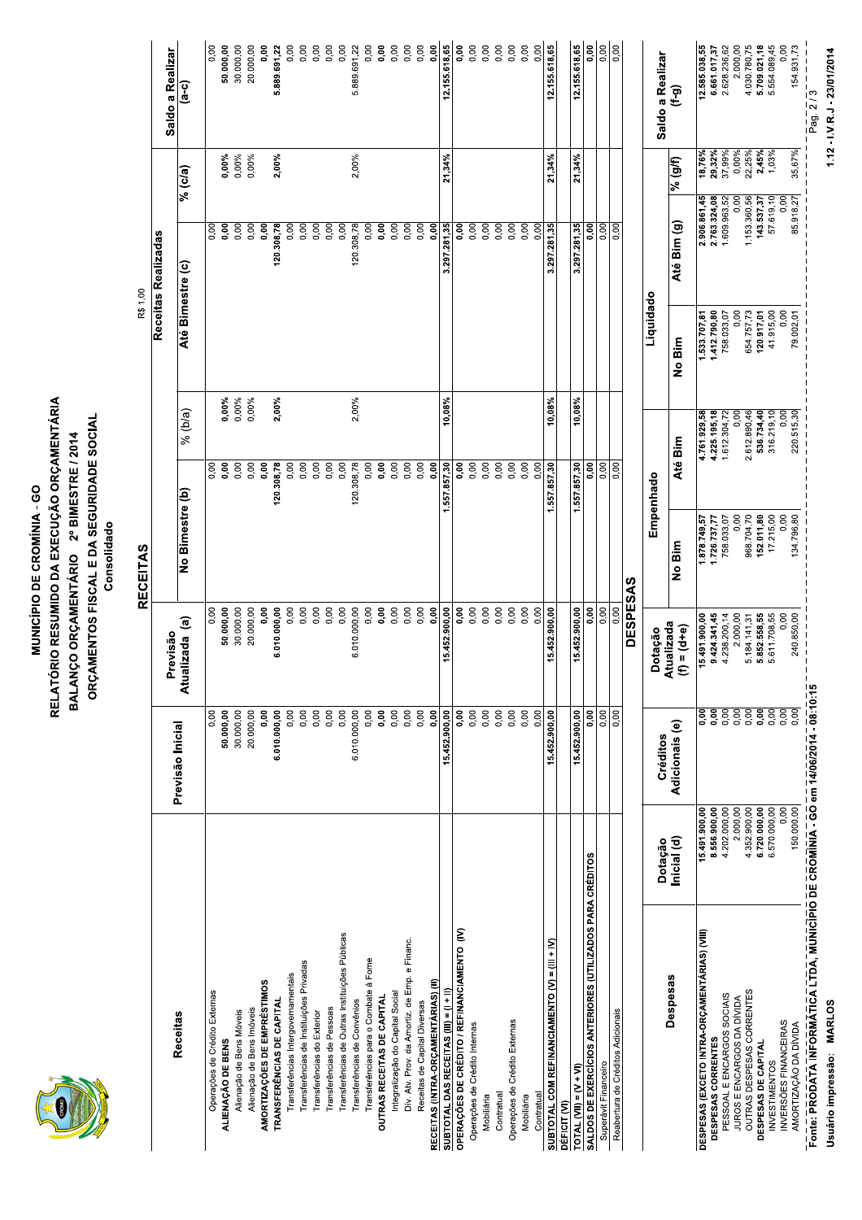

### MUNICÍPIO DE CROMÍNI<br>RELATÓRIO RESUMIDO DA EXECU<br>BALANÇO ORÇAMENTÁRIO 2º E<br>ORÇAMENTOS FISCAL E DA SE<br>ORÇAMENTOS FISCAL E DA SE **MUNICÍPIO DE CROMÍNIA - GO<br>RELATÓRIO RESUMIDO DA EXECUÇÃO ORÇ<br>BALANÇO ORÇAMENTÁRIO 2º BIMESTRE<br>ORÇAMENTOS FISCAL E DA SEGURIDAD<br>Consolidad MUNICÍPIO DE CROMÍNIA - GO<br>VTÓRIO RESUMIDO DA EXECUÇÃO ORÇAMENTÁ<br>ANÇO ORÇAMENTÁRIO 2º BIMESTRE / 2014<br>RÇAMENTOS FISCAL E DA SEGURIDADE SOCIAI<br>Consolidado<br>RECEITAS** MUNICÍPIO DE CROMÍNIA - GONERATÓRIO RESUMIDO DA EXECUÇÃO I<br>BALANÇO ORÇAMENTÁRIO - 2º BIMES<br>ORÇAMENTOS FISCAL E DA SEGURII<br>Consolidado<br>Consolidad<br>Inicial | Atualizada (a) | No Bimestre (b<sub>i</sub><br>Visão Inicial | Atualizada (a) | - PIO DE CROMÍNIA - GO<br>MIDO DA EXECUÇÃO ORÇAMENTÁRIA<br>MENTÁRIO - 2º BIMESTRE / 2014<br>Consolidado<br>Consolidado<br>RECEITAS<br>RECEITAS MUNICÍPIO DE CROMÍNI<br>RALANÇO ORÇAMENTÁRIO 2º E<br>DALANÇO ORÇAMENTÁRIO 2º E<br>ORÇAMENTOS FISCAL E DA SE<br>Consolidado<br>Consolidado MUNICÍPIO DE CROMÍNIA - GO<br>RELATÓRIO RESUMIDO DA EXECUÇÃO ORÇAME<br>BALANÇO ORÇAMENTÁRIO 2º BIMESTRE / 20<br>ORÇAMENTOS FISCAL E DA SEGURIDADE SC<br>Consolidad<br>Consolidad **MUNICÍPIO DE CROMÍNIA - GO<br>RIO RESUMIDO DA EXECUÇÃO ORÇAMENT<br>ÇO ORÇAMENTÁRIO 2º BIMESTRE / 2014<br>MENTOS FISCAL E DA SEGURIDADE SOCI<br>Consolidad<br>RECEITAS<br>RECEITAS WUNICÍPIO DE CROMÍNIA - GO<br>) RESUMIDO DA EXECUÇÃO ORÇAMENTÁRIA<br>ORÇAMENTÁRIO - 2º BIMESTRE / 2014<br>ENTOS FISCAL E DA SEGURIDADE SOCIAL<br>Consolidado<br>RECEITAS<br>RECEITAS OMÍNIA - GO<br>:XECUÇÃO ORÇAMENTÁRIA<br>, 2º BIMESTRE / 2014<br>DA SEGURIDADE SOCIAL<br>lidado**<br>IS MUNICÍPIO DE CROMÍNIA - GO<br>ORÇAMENTÁRIO - 2º BIMESTRE / 2014<br>ACO ORÇAMENTÁRIO - 2º BIMESTRE / 2014<br>AMENTOS FISCAL E DA SEGURIDADE SOCIAL<br>Consolidado<br>Previsão - RECEITAS<br>alizada (a) - No Bimestre (b) - 9% (b/a

|                                                                                                               |                              |                       |                                        | <b>RECEITAS</b>            |                                    | R\$ 1,00                    |                                |                                   |                                      |
|---------------------------------------------------------------------------------------------------------------|------------------------------|-----------------------|----------------------------------------|----------------------------|------------------------------------|-----------------------------|--------------------------------|-----------------------------------|--------------------------------------|
| <b>Receitas</b>                                                                                               |                              | Previsão Inicial      | Previsão                               |                            |                                    |                             | Receitas Realizadas            |                                   | Saldo a Realizar                     |
|                                                                                                               |                              |                       | Atualizada (a)                         | No Bimestre (b)            | $%$ (b/a)                          | Até Bimestre (c)            |                                | % (c/a)                           | $\overline{a}$ -c)                   |
| Operações de Crédito Externas                                                                                 |                              | 0.00<br>50.000,00     | 0,00<br>50.000,00                      |                            | 0,00%<br>$\frac{8}{10}$<br>0,00    |                             | 0,00<br>0,00                   | 0,00%                             | 0,00<br>50.000,00                    |
| Alienação de Bens Móveis<br>ALIENAÇÃO DE BENS                                                                 |                              | 30.000,00             | 30.000,00                              |                            | 0,00%<br>0,00                      |                             | 0,00                           | 0,00%                             | 30.000,00                            |
| Alienação de Bens Imóveis                                                                                     |                              | 20.000,00             | 20.000,00                              |                            | 0,00%<br>0,00                      |                             | 0,00                           | 0,00%                             | 20.000,00                            |
| AMORTIZAÇÕES DE EMPRÉSTIMOS<br>TRANSFERÊNCIAS DE CAPITAL                                                      |                              | 6.010.000,00<br>0,00  | 0,00<br>6.010.000,00                   |                            | 2,00%<br><b>O.O.</b><br>120.308,78 |                             | 0,00<br>120.308,78             | 2,00%                             | 0,00<br>5.889.691,22                 |
| Transferências Intergovernamentais                                                                            |                              | 0,00                  | 0,00                                   |                            | 0,00                               |                             | 0,00                           |                                   | 0,00                                 |
| Transferências de Instituições Privadas                                                                       |                              | 0,00                  | 0,00                                   |                            | 0,00                               |                             | 0,00                           |                                   | 0,00                                 |
| Transferências de Pessoas<br>Transferências do Exterior                                                       |                              | 0,00<br>0,00          | 0,00<br>0,00                           |                            | 0,00<br>0,00                       |                             | 0,00<br>0,00                   |                                   | 0,00<br>0,00                         |
| Transferências de Outras Instituições Públicas                                                                |                              | 0,00                  | 0,00                                   |                            | 0,00                               |                             | 0,00                           |                                   | 0,00                                 |
| Transferências de Convênios                                                                                   |                              | 6.010.000,00          | 6.010.000,00                           |                            | 2,00%<br>120.308,78                |                             | 120.308,78                     | 2,00%                             | 5.889.691,22                         |
| Transferências para o Combate à Fome<br>OUTRAS RECEITAS DE CAPITAL                                            |                              | 0,00<br>0,00          | 0,00<br>0,00                           |                            | 0,00<br>0,00                       |                             | o,od<br>0,00                   |                                   | 0,00<br>0,00                         |
| Integralização do Capital Social                                                                              |                              | 0,00                  | 0,00                                   |                            | 0,00                               |                             | 0,00                           |                                   | 0,00                                 |
| Dív. Atv. Prov. da Amortiz. de Emp. e Financ.                                                                 |                              | 0,00                  | 0,00                                   |                            | 0,00                               |                             | 0,00                           |                                   | 0,00                                 |
| Receitas de Capital Diversas                                                                                  |                              | 0,00                  | 0,00                                   |                            | 0,00                               |                             | 0,00                           |                                   | 0,00                                 |
| RECEITAS (INTRA-ORÇAMENTÁRIAS) (II)<br>SUBTOTAL DAS RECEITAS $(III) = (I + II)$                               |                              | 0,00<br>15.452.900,00 | 15.452.900,00<br>0,00                  |                            | $10,08\%$<br>0,00<br>1.557.857,30  |                             | $\overline{0}$<br>3.297.281,35 | 21,34%                            | 0,00<br>12.155.618,65                |
| OPERAÇÕES DE CRÉDITO / REFINANCIAMENTO (IV)                                                                   |                              | 0,00                  | <b>0.00</b>                            |                            | 0,00                               |                             | 0,00                           |                                   | <b>0.00</b>                          |
| Operações de Crédito Internas                                                                                 |                              | 0,00                  | 0,00                                   |                            | 0,00                               |                             | $\overline{5}$                 |                                   | 0,00                                 |
| Mobiliária                                                                                                    |                              | 0,00                  | 0,00                                   |                            | 0,00                               |                             | 0,00                           |                                   | 0,00                                 |
| Contratual                                                                                                    |                              | 0,00<br>0,00          | 0,00<br>0,00                           |                            | 0,00<br>0,00                       |                             | 0,00<br>0,00                   |                                   | 0,00<br>0,00                         |
| Operações de Crédito Externas<br>Mobiliária                                                                   |                              | 0,00                  | 0,00                                   |                            | 0,00                               |                             | 0,00                           |                                   | 0,00                                 |
| ontratua                                                                                                      |                              | 0,00                  | 0,00                                   |                            | 0,00                               |                             | 0,00                           |                                   | 0,00                                 |
| SUBTOTAL COM REFINANCIAMENTO (V) = (III + IV)                                                                 |                              | 15.452.900,00         | 15.452.900,00                          |                            | 10,08%<br>1.557.857,30             |                             | 3.297.281,35                   | 21,34%                            | 12.155.618,65                        |
| DÉFICIT <sub>(VI</sub>                                                                                        |                              | 15.452.900,00         | 15.452.900,00                          |                            | 10,08%                             |                             |                                | 21,34%                            | 12.155.618,65                        |
| <u>TOTAL (VII) = (V + VI)</u><br>SALDOS DE EXERCÍCIOS ANTERIORES (UTILIZADOS PARA CRÉDITOS                    |                              | $\overline{0.00}$     | $\overline{0,00}$                      |                            | 1.557.857,30                       |                             | $\frac{3.297.281,35}{0,00}$    |                                   | $\overline{0.00}$                    |
| Superávit Financeiro                                                                                          |                              | $\frac{8}{5}$         | 0,00                                   |                            | $\frac{8}{500}$                    |                             | gg<br> 히s                      |                                   | 0,00                                 |
| Reabertura de Créditos Adicionais                                                                             |                              |                       | 0,00                                   |                            |                                    |                             |                                |                                   | 0,00                                 |
|                                                                                                               |                              |                       | <b>DESPESA</b>                         | <b>S</b>                   |                                    |                             |                                |                                   |                                      |
|                                                                                                               | Dotação                      | Créditos              | Dotação                                | Empenhado                  |                                    | Liquidado                   |                                |                                   | Saldo a Realizar                     |
| Despesas                                                                                                      | Inicial (d)                  | Adicionais (e)        | Atualizada<br>$\mathbf{r} = (1) = (1)$ | No Bim                     | Até Bim                            | No Bim                      | Até Bim (g)                    | $\frac{9}{6}$ (g/f)               | ၉၅                                   |
| <b>DESPESAS (EXCETO INTRA-ORÇAMENTÁRIAS) (VIII)</b>                                                           | 15.491.900,00                | 0,00                  | 15.491.900,00                          | 1.878.749,57               | 4.761929,58                        | 1533707,81                  | 2.906.861,45                   | 18,76%                            | 12.585.038,55                        |
| PESSOAL E ENCARGOS SOCIAIS<br>DESPESAS CORRENTES                                                              | 8.556.900,00<br>4.202.000,00 | $rac{1}{200}$<br>0,00 | 9.424.341,45<br>4.238.200,14           | 758.033,07<br>1.726.737,77 | 4.225.195,18<br>1.612.304,72       | 1.412.790,80<br>758.033,07  | 2.763.324,08<br>1.609.963,52   | 29,32%                            | 2.628.236,62<br>6.661.017,37         |
| JUROS E ENCARGOS DA DÍVIDA                                                                                    | 2.000,00<br>4.352.900,00     | 0.00                  | 2.000,00                               | 968.704,70<br>0,00         | 0,00                               | 654.757,73<br>0,00          | 1.153.360,56                   | 0,00%<br>22,25%<br>$\overline{0}$ | 2.000,00<br>4.030.780,75             |
| OUTRAS DESPESAS CORRENTES<br>DESPESAS DE CAPITAL                                                              | 6.720.000,00                 | 0,00                  | .558,55<br>5.184.141,31<br>5.852.      | 152.011,80                 | 2.612.890,46<br>536.734,40         | $120.917,01$<br>$41.915,00$ | 537,37<br>143.                 | 2,45%                             |                                      |
| INVERSÕES FINANCEIRAS<br><b>INVESTIMENTOS</b>                                                                 | 0,00<br>6.570.000,00         | eco<br>Co             | 0,00<br>5.611.708,55                   | 17.215,00<br>0,00          | 316.219,10<br>0,00                 | 0,00                        | 57.619,10                      | 1,03%<br>$\overline{0}$           | 5.709.021,18<br>5.554.089,45<br>0,00 |
| Fonte: PRODATA INFORMATICA LTDA, MUNICÍPIO DE CROMÍNIA - GO em 14/06/2014 - 08:10:15<br>AMORTIZAÇÃO DA DÍVIDA | 150.000,00                   | 0,00                  | 240.850,00                             | 134.796,80                 | 220.515,30                         | 79.002,01                   | 85.918,27                      | 35,67%                            | 154.931,73                           |

# 1.12 - I.V.R.J - 23/01/2014